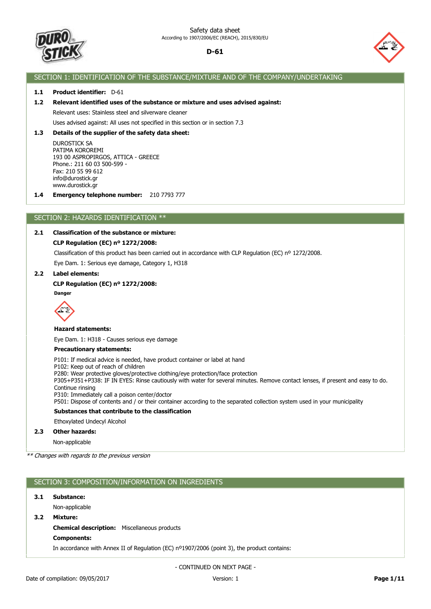



## SECTION 1: IDENTIFICATION OF THE SUBSTANCE/MIXTURE AND OF THE COMPANY/UNDERTAKING

## **1.1 Product identifier:** D-61

## **1.2 Relevant identified uses of the substance or mixture and uses advised against:**

Relevant uses: Stainless steel and silverware cleaner

## Uses advised against: All uses not specified in this section or in section 7.3

## **1.3 Details of the supplier of the safety data sheet:**

DUROSTICK SA PATIMA KOROREMI 193 00 ASPROPIRGOS, ATTICA - GREECE Phone.: 211 60 03 500-599 - Fax: 210 55 99 612 info@durostick.gr www.durostick.gr

**1.4 Emergency telephone number:** 210 7793 777

## SECTION 2: HAZARDS IDENTIFICATION \*\*

## **2.1 Classification of the substance or mixture:**

#### **CLP Regulation (EC) nº 1272/2008:**

Classification of this product has been carried out in accordance with CLP Regulation (EC) nº 1272/2008.

Eye Dam. 1: Serious eye damage, Category 1, H318

## **2.2 Label elements:**

#### **CLP Regulation (EC) nº 1272/2008:**

**Danger**



## **Hazard statements:**

Eye Dam. 1: H318 - Causes serious eye damage

#### **Precautionary statements:**

P101: If medical advice is needed, have product container or label at hand

P102: Keep out of reach of children

P280: Wear protective gloves/protective clothing/eye protection/face protection

P305+P351+P338: IF IN EYES: Rinse cautiously with water for several minutes. Remove contact lenses, if present and easy to do. Continue rinsing

P310: Immediately call a poison center/doctor

P501: Dispose of contents and / or their container according to the separated collection system used in your municipality

#### **Substances that contribute to the classification**

Ethoxylated Undecyl Alcohol

#### **2.3 Other hazards:**

Non-applicable

\*\* Changes with regards to the previous version

## SECTION 3: COMPOSITION/INFORMATION ON INGREDIENTS

#### **3.1 Substance:**

Non-applicable

#### **3.2 Mixture:**

**Chemical description:** Miscellaneous products

#### **Components:**

In accordance with Annex II of Regulation (EC) nº1907/2006 (point 3), the product contains: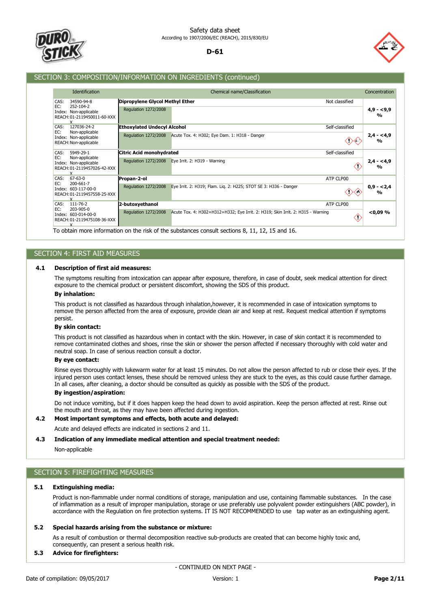



## SECTION 3: COMPOSITION/INFORMATION ON INGREDIENTS (continued)

| Identification                                                                                      |                                                         | Chemical name/Classification                                                                                                                                                               | Concentration                |
|-----------------------------------------------------------------------------------------------------|---------------------------------------------------------|--------------------------------------------------------------------------------------------------------------------------------------------------------------------------------------------|------------------------------|
| CAS:<br>34590-94-8<br>EC:<br>252-104-2<br>Index: Non-applicable<br>REACH: 01-2119450011-60-XXX<br>x | Dipropylene Glycol Methyl Ether<br>Regulation 1272/2008 | Not classified                                                                                                                                                                             | $4,9 - 5,9$<br>$\frac{0}{0}$ |
| 127036-24-2<br>CAS:<br>EC:<br>Non-applicable                                                        | <b>Ethoxylated Undecyl Alcohol</b>                      | Self-classified                                                                                                                                                                            |                              |
| Index: Non-applicable<br>REACH: Non-applicable                                                      | Regulation 1272/2008                                    | Acute Tox. 4: H302; Eye Dam. 1: H318 - Danger                                                                                                                                              | $2,4 - 4,9$<br>$\frac{0}{0}$ |
| CAS:<br>5949-29-1                                                                                   | Citric Acid monohydrated                                | Self-classified                                                                                                                                                                            |                              |
| EC:<br>Non-applicable<br>Index: Non-applicable<br>REACH: 01-2119457026-42-XXX                       | Regulation 1272/2008                                    | Eye Irrit. 2: H319 - Warning                                                                                                                                                               | $2,4 - 4,9$<br>$\frac{0}{0}$ |
| CAS:<br>$67 - 63 - 0$<br>200-661-7                                                                  | Propan-2-ol                                             | ATP CLP00                                                                                                                                                                                  |                              |
| EC:<br>Index: 603-117-00-0<br>REACH: 01-2119457558-25-XXX<br>Y                                      | Regulation 1272/2008                                    | Eye Irrit. 2: H319; Flam. Lig. 2: H225; STOT SE 3: H336 - Danger<br>OX.                                                                                                                    | $0,9 - 2,4$<br>$\frac{0}{0}$ |
| CAS:<br>$111 - 76 - 2$                                                                              | 2-butoxyethanol                                         | ATP CLP00                                                                                                                                                                                  |                              |
| EC:<br>203-905-0<br>Index: 603-014-00-0<br>REACH: 01-2119475108-36-XXX                              | Regulation 1272/2008                                    | Acute Tox. 4: H302+H312+H332; Eye Irrit. 2: H319; Skin Irrit. 2: H315 - Warning<br>œ<br>To obtain more information on the righ of the substances consult sections $9, 11, 12, 15$ and $16$ | $<$ 0,09 $%$                 |

To obtain more information on the risk of the substances consult sections 8, 11, 12, 15 and 16.

## SECTION 4: FIRST AID MEASURES

## **4.1 Description of first aid measures:**

The symptoms resulting from intoxication can appear after exposure, therefore, in case of doubt, seek medical attention for direct exposure to the chemical product or persistent discomfort, showing the SDS of this product.

#### **By inhalation:**

This product is not classified as hazardous through inhalation,however, it is recommended in case of intoxication symptoms to remove the person affected from the area of exposure, provide clean air and keep at rest. Request medical attention if symptoms persist.

#### **By skin contact:**

This product is not classified as hazardous when in contact with the skin. However, in case of skin contact it is recommended to remove contaminated clothes and shoes, rinse the skin or shower the person affected if necessary thoroughly with cold water and neutral soap. In case of serious reaction consult a doctor.

## **By eye contact:**

Rinse eyes thoroughly with lukewarm water for at least 15 minutes. Do not allow the person affected to rub or close their eyes. If the injured person uses contact lenses, these should be removed unless they are stuck to the eyes, as this could cause further damage. In all cases, after cleaning, a doctor should be consulted as quickly as possible with the SDS of the product.

## **By ingestion/aspiration:**

Do not induce vomiting, but if it does happen keep the head down to avoid aspiration. Keep the person affected at rest. Rinse out the mouth and throat, as they may have been affected during ingestion.

## **4.2 Most important symptoms and effects, both acute and delayed:**

Acute and delayed effects are indicated in sections 2 and 11.

#### **4.3 Indication of any immediate medical attention and special treatment needed:**

Non-applicable

## SECTION 5: FIREFIGHTING MEASURES

### **5.1 Extinguishing media:**

Product is non-flammable under normal conditions of storage, manipulation and use, containing flammable substances. In the case of inflammation as a result of improper manipulation, storage or use preferably use polyvalent powder extinguishers (ABC powder), in accordance with the Regulation on fire protection systems. IT IS NOT RECOMMENDED to use tap water as an extinguishing agent.

#### **5.2 Special hazards arising from the substance or mixture:**

As a result of combustion or thermal decomposition reactive sub-products are created that can become highly toxic and, consequently, can present a serious health risk.

## **5.3 Advice for firefighters:**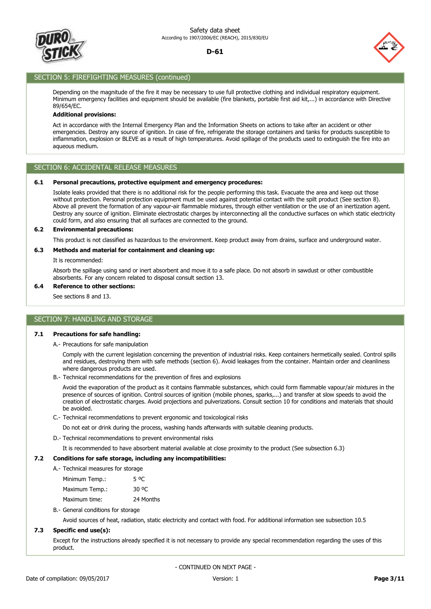



## SECTION 5: FIREFIGHTING MEASURES (continued)

Depending on the magnitude of the fire it may be necessary to use full protective clothing and individual respiratory equipment. Minimum emergency facilities and equipment should be available (fire blankets, portable first aid kit,...) in accordance with Directive 89/654/EC.

## **Additional provisions:**

Act in accordance with the Internal Emergency Plan and the Information Sheets on actions to take after an accident or other emergencies. Destroy any source of ignition. In case of fire, refrigerate the storage containers and tanks for products susceptible to inflammation, explosion or BLEVE as a result of high temperatures. Avoid spillage of the products used to extinguish the fire into an aqueous medium.

## SECTION 6: ACCIDENTAL RELEASE MEASURES

#### **6.1 Personal precautions, protective equipment and emergency procedures:**

Isolate leaks provided that there is no additional risk for the people performing this task. Evacuate the area and keep out those without protection. Personal protection equipment must be used against potential contact with the spilt product (See section 8). Above all prevent the formation of any vapour-air flammable mixtures, through either ventilation or the use of an inertization agent. Destroy any source of ignition. Eliminate electrostatic charges by interconnecting all the conductive surfaces on which static electricity could form, and also ensuring that all surfaces are connected to the ground.

#### **6.2 Environmental precautions:**

This product is not classified as hazardous to the environment. Keep product away from drains, surface and underground water.

## **6.3 Methods and material for containment and cleaning up:**

It is recommended:

Absorb the spillage using sand or inert absorbent and move it to a safe place. Do not absorb in sawdust or other combustible absorbents. For any concern related to disposal consult section 13.

#### **6.4 Reference to other sections:**

See sections 8 and 13.

## SECTION 7: HANDLING AND STORAGE

#### **7.1 Precautions for safe handling:**

A.- Precautions for safe manipulation

Comply with the current legislation concerning the prevention of industrial risks. Keep containers hermetically sealed. Control spills and residues, destroying them with safe methods (section 6). Avoid leakages from the container. Maintain order and cleanliness where dangerous products are used.

B.- Technical recommendations for the prevention of fires and explosions

Avoid the evaporation of the product as it contains flammable substances, which could form flammable vapour/air mixtures in the presence of sources of ignition. Control sources of ignition (mobile phones, sparks,...) and transfer at slow speeds to avoid the creation of electrostatic charges. Avoid projections and pulverizations. Consult section 10 for conditions and materials that should be avoided.

C.- Technical recommendations to prevent ergonomic and toxicological risks

Do not eat or drink during the process, washing hands afterwards with suitable cleaning products.

D.- Technical recommendations to prevent environmental risks

It is recommended to have absorbent material available at close proximity to the product (See subsection 6.3)

#### **7.2 Conditions for safe storage, including any incompatibilities:**

A.- Technical measures for storage

| Minimum Temp.: | 5 OC      |
|----------------|-----------|
| Maximum Temp.: | 30 °C     |
| Maximum time:  | 24 Months |

B.- General conditions for storage

Avoid sources of heat, radiation, static electricity and contact with food. For additional information see subsection 10.5

## **7.3 Specific end use(s):**

Except for the instructions already specified it is not necessary to provide any special recommendation regarding the uses of this product.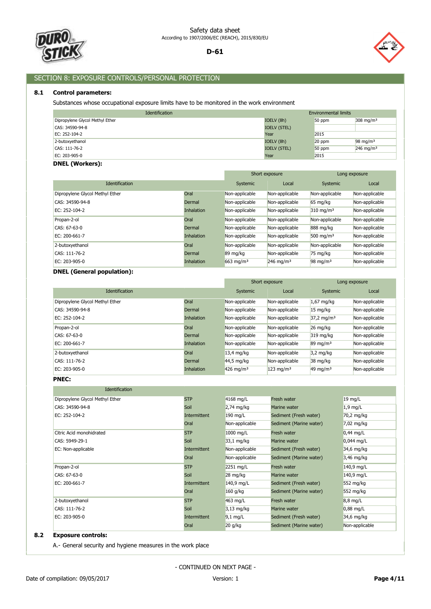



# SECTION 8: EXPOSURE CONTROLS/PERSONAL PROTECTION

## **8.1 Control parameters:**

Substances whose occupational exposure limits have to be monitored in the work environment

| Identification                  | <b>Environmental limits</b> |        |                         |
|---------------------------------|-----------------------------|--------|-------------------------|
| Dipropylene Glycol Methyl Ether | IOELV (8h)                  | 50 ppm | $308 \text{ mg/m}^3$    |
| CAS: 34590-94-8                 | <b>IOELV (STEL)</b>         |        |                         |
| EC: 252-104-2                   | Year                        | 2015   |                         |
| 2-butoxyethanol                 | IOELV (8h)                  | 20 ppm | $98 \text{ mg/m}^3$     |
| CAS: 111-76-2                   | <b>IOELV (STEL)</b>         | 50 ppm | $246$ mg/m <sup>3</sup> |
| EC: 203-905-0                   | Year                        | 2015   |                         |

## **DNEL (Workers):**

|                                 | Short exposure    |                         |                         | Long exposure           |                |
|---------------------------------|-------------------|-------------------------|-------------------------|-------------------------|----------------|
| <b>Identification</b>           |                   | Systemic                | Local                   | Systemic                | Local          |
| Dipropylene Glycol Methyl Ether | Oral              | Non-applicable          | Non-applicable          | Non-applicable          | Non-applicable |
| CAS: 34590-94-8                 | Dermal            | Non-applicable          | Non-applicable          | $65 \text{ mg/kg}$      | Non-applicable |
| EC: 252-104-2                   | <b>Inhalation</b> | Non-applicable          | Non-applicable          | $310$ mg/m <sup>3</sup> | Non-applicable |
| Propan-2-ol                     | Oral              | Non-applicable          | Non-applicable          | Non-applicable          | Non-applicable |
| CAS: 67-63-0                    | Dermal            | Non-applicable          | Non-applicable          | 888 mg/kg               | Non-applicable |
| EC: 200-661-7                   | <b>Inhalation</b> | Non-applicable          | Non-applicable          | 500 mg/m <sup>3</sup>   | Non-applicable |
| 2-butoxyethanol                 | Oral              | Non-applicable          | Non-applicable          | Non-applicable          | Non-applicable |
| CAS: 111-76-2                   | Dermal            | 89 mg/kg                | Non-applicable          | $75 \text{ mg/kg}$      | Non-applicable |
| EC: 203-905-0                   | <b>Inhalation</b> | $663$ mg/m <sup>3</sup> | $246$ mg/m <sup>3</sup> | $98 \text{ mg/m}^3$     | Non-applicable |

## **DNEL (General population):**

|                                 |                   | Short exposure          |                         |                       | Long exposure  |
|---------------------------------|-------------------|-------------------------|-------------------------|-----------------------|----------------|
| <b>Identification</b>           |                   | Systemic                | Local                   | Systemic              | Local          |
| Dipropylene Glycol Methyl Ether | Oral              | Non-applicable          | Non-applicable          | $1,67$ mg/kg          | Non-applicable |
| CAS: 34590-94-8                 | Dermal            | Non-applicable          | Non-applicable          | $15 \text{ mg/kg}$    | Non-applicable |
| EC: 252-104-2                   | <b>Inhalation</b> | Non-applicable          | Non-applicable          | $37,2 \text{ mg/m}^3$ | Non-applicable |
| Propan-2-ol                     | Oral              | Non-applicable          | Non-applicable          | $26 \text{ mg/kg}$    | Non-applicable |
| CAS: 67-63-0                    | Dermal            | Non-applicable          | Non-applicable          | 319 mg/kg             | Non-applicable |
| EC: 200-661-7                   | <b>Inhalation</b> | Non-applicable          | Non-applicable          | $89 \text{ mg/m}^3$   | Non-applicable |
| 2-butoxyethanol                 | Oral              | $13,4$ mg/kg            | Non-applicable          | $3,2 \text{ mg/kg}$   | Non-applicable |
| CAS: 111-76-2                   | Dermal            | 44,5 mg/kg              | Non-applicable          | 38 mg/kg              | Non-applicable |
| EC: 203-905-0                   | <b>Inhalation</b> | $426$ mg/m <sup>3</sup> | $123$ mg/m <sup>3</sup> | $49 \text{ mg/m}^3$   | Non-applicable |

**PNEC:**

| <b>Identification</b>           |                     |                    |                         |                |
|---------------------------------|---------------------|--------------------|-------------------------|----------------|
| Dipropylene Glycol Methyl Ether | <b>STP</b>          | 4168 mg/L          | Fresh water             | 19 mg/L        |
| CAS: 34590-94-8                 | Soil                | $2,74$ mg/kg       | Marine water            | $1,9$ mg/L     |
| EC: 252-104-2                   | <b>Intermittent</b> | 190 mg/L           | Sediment (Fresh water)  | 70,2 mg/kg     |
|                                 | Oral                | Non-applicable     | Sediment (Marine water) | 7,02 mg/kg     |
| Citric Acid monohidrated        | <b>STP</b>          | 1000 mg/L          | Fresh water             | $0,44$ mg/L    |
| CAS: 5949-29-1                  | Soil                | 33,1 mg/kg         | Marine water            | $0,044$ mg/L   |
| EC: Non-applicable              | Intermittent        | Non-applicable     | Sediment (Fresh water)  | 34,6 mg/kg     |
|                                 | Oral                | Non-applicable     | Sediment (Marine water) | 3,46 mg/kg     |
| Propan-2-ol                     | <b>STP</b>          | 2251 mg/L          | Fresh water             | 140,9 mg/L     |
| CAS: 67-63-0                    | Soil                | $28 \text{ mg/kg}$ | Marine water            | 140,9 mg/L     |
| EC: 200-661-7                   | Intermittent        | 140,9 mg/L         | Sediment (Fresh water)  | 552 mg/kg      |
|                                 | Oral                | $160$ g/kg         | Sediment (Marine water) | 552 mg/kg      |
| 2-butoxyethanol                 | <b>STP</b>          | 463 mg/L           | Fresh water             | 8,8 mg/L       |
| CAS: 111-76-2                   | Soil                | $3,13$ mg/kg       | Marine water            | $0.88$ mg/L    |
| EC: 203-905-0                   | Intermittent        | $9,1$ mg/L         | Sediment (Fresh water)  | 34,6 mg/kg     |
|                                 | Oral                | $20$ g/kg          | Sediment (Marine water) | Non-applicable |

# **8.2 Exposure controls:**

A.- General security and hygiene measures in the work place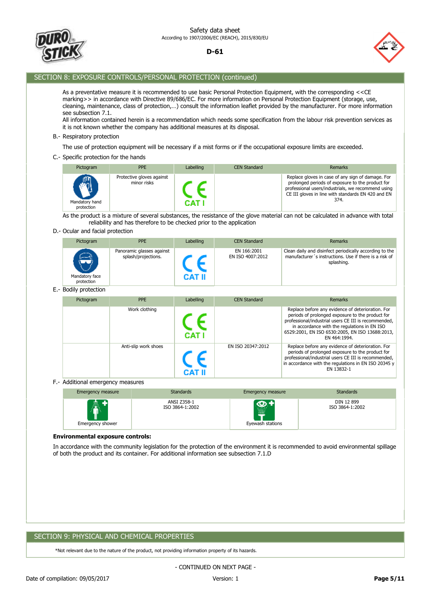



## SECTION 8: EXPOSURE CONTROLS/PERSONAL PROTECTION (continued)

As a preventative measure it is recommended to use basic Personal Protection Equipment, with the corresponding <<CE marking>> in accordance with Directive 89/686/EC. For more information on Personal Protection Equipment (storage, use, cleaning, maintenance, class of protection,…) consult the information leaflet provided by the manufacturer. For more information see subsection 7.1.

All information contained herein is a recommendation which needs some specification from the labour risk prevention services as it is not known whether the company has additional measures at its disposal.

#### B.- Respiratory protection

The use of protection equipment will be necessary if a mist forms or if the occupational exposure limits are exceeded.

#### C.- Specific protection for the hands

| Pictogram                         | <b>PPE</b>                               | Labelling | <b>CEN Standard</b> | Remarks                                                                                                                                                                                                                   |
|-----------------------------------|------------------------------------------|-----------|---------------------|---------------------------------------------------------------------------------------------------------------------------------------------------------------------------------------------------------------------------|
| ‴<br>Mandatory hand<br>protection | Protective gloves against<br>minor risks |           |                     | Replace gloves in case of any sign of damage. For<br>prolonged periods of exposure to the product for<br>professional users/industrials, we recommend using<br>CE III gloves in line with standards EN 420 and EN<br>374. |

As the product is a mixture of several substances, the resistance of the glove material can not be calculated in advance with total reliability and has therefore to be checked prior to the application

#### D.- Ocular and facial protection

| Pictogram                                         | <b>PPE</b>                                       | Labelling | <b>CEN Standard</b>             | Remarks                                                                                                                         |
|---------------------------------------------------|--------------------------------------------------|-----------|---------------------------------|---------------------------------------------------------------------------------------------------------------------------------|
| $-1$ <sup>-</sup><br>Mandatory face<br>protection | Panoramic glasses against<br>splash/projections. | CAT II    | EN 166:2001<br>EN ISO 4007:2012 | Clean daily and disinfect periodically according to the<br>manufacturer's instructions. Use if there is a risk of<br>splashing. |

#### E.- Bodily protection

|           | <b>PPE</b>           |           | <b>CEN Standard</b> | Remarks                                                                                                                                                                                                                                                                          |
|-----------|----------------------|-----------|---------------------|----------------------------------------------------------------------------------------------------------------------------------------------------------------------------------------------------------------------------------------------------------------------------------|
| Pictogram |                      | Labelling |                     |                                                                                                                                                                                                                                                                                  |
|           | Work clothing        |           |                     | Replace before any evidence of deterioration. For<br>periods of prolonged exposure to the product for<br>professional/industrial users CE III is recommended,<br>in accordance with the regulations in EN ISO<br>6529:2001, EN ISO 6530:2005, EN ISO 13688:2013,<br>EN 464:1994. |
|           | Anti-slip work shoes |           | EN ISO 20347:2012   | Replace before any evidence of deterioration. For<br>periods of prolonged exposure to the product for<br>professional/industrial users CE III is recommended,<br>in accordance with the regulations in EN ISO 20345 $y$<br>EN 13832-1                                            |

#### F.- Additional emergency measures

| Emergency measure | <b>Standards</b> | Emergency measure | <b>Standards</b> |
|-------------------|------------------|-------------------|------------------|
| 靈                 | ANSI Z358-1      | æ                 | DIN 12 899       |
| Emergency shower  | ISO 3864-1:2002  | Eyewash stations  | ISO 3864-1:2002  |

#### **Environmental exposure controls:**

In accordance with the community legislation for the protection of the environment it is recommended to avoid environmental spillage of both the product and its container. For additional information see subsection 7.1.D

## SECTION 9: PHYSICAL AND CHEMICAL PROPERTIES

\*Not relevant due to the nature of the product, not providing information property of its hazards.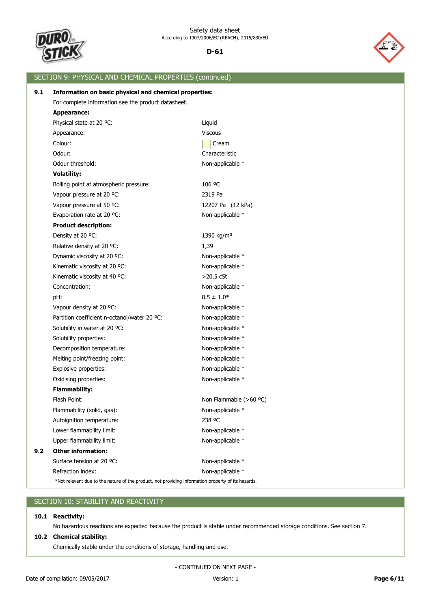



# SECTION 9: PHYSICAL AND CHEMICAL PROPERTIES (continued) Refraction index: Non-applicable \* Surface tension at 20 °C: Non-applicable \* **9.2 Other information:** Upper flammability limit: Non-applicable \* Lower flammability limit: Non-applicable \* Autoignition temperature: 238 °C Flammability (solid, gas): Non-applicable \* Flash Point: Non Flammable (>60 °C) **Flammability:** Oxidising properties: Non-applicable \* Explosive properties: Non-applicable \* Melting point/freezing point: Non-applicable \* Decomposition temperature: Non-applicable \* Solubility properties: Non-applicable \* Solubility in water at 20 °C: Non-applicable \* Partition coefficient n-octanol/water 20 °C: Non-applicable \* Vapour density at 20 °C: Non-applicable \* pH:  $8.5 \pm 1.0^*$ Concentration: Non-applicable \* Kinematic viscosity at 40 °C:  $>$ 20,5 cSt Kinematic viscosity at 20 °C: Non-applicable \* Dynamic viscosity at 20 °C: Non-applicable \* Relative density at 20 °C: 1,39 Density at 20 °C: 1390 kg/m<sup>3</sup> **Product description:** Evaporation rate at 20 °C: Non-applicable \* Vapour pressure at 50 °C: 12207 Pa (12 kPa) Vapour pressure at 20 °C: 2319 Pa Boiling point at atmospheric pressure: 106 °C **Volatility:** Odour threshold: Non-applicable \* Odour: Characteristic Colour: Colour: Colour: Colour: Colour: Colour: Colour: Colour: Colour: Colour: Colour: Colour: Colour: Colou Appearance: Viscous Physical state at 20 °C: Liquid **Appearance:** For complete information see the product datasheet. **9.1 Information on basic physical and chemical properties:** \*Not relevant due to the nature of the product, not providing information property of its hazards.

## SECTION 10: STABILITY AND REACTIVITY

## **10.1 Reactivity:**

No hazardous reactions are expected because the product is stable under recommended storage conditions. See section 7.

## **10.2 Chemical stability:**

Chemically stable under the conditions of storage, handling and use.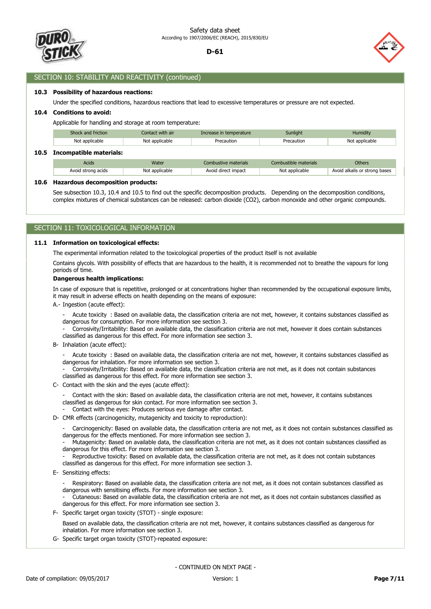



## SECTION 10: STABILITY AND REACTIVITY (continued)

#### **10.3 Possibility of hazardous reactions:**

Under the specified conditions, hazardous reactions that lead to excessive temperatures or pressure are not expected.

#### **10.4 Conditions to avoid:**

Applicable for handling and storage at room temperature:

| Shock and friction<br>Contact with air |                | Increase in temperature | Sunlight              | Humidity                      |  |
|----------------------------------------|----------------|-------------------------|-----------------------|-------------------------------|--|
| Not applicable                         | Not applicable | Precaution              | Precaution            | Not applicable                |  |
| 10.5 Incompatible materials:           |                |                         |                       |                               |  |
| Acids                                  | Water          | Combustive materials    | Combustible materials | <b>Others</b>                 |  |
| Avoid strong acids                     | Not applicable | Avoid direct impact     | Not applicable        | Avoid alkalis or strong bases |  |

**10.6 Hazardous decomposition products:**

See subsection 10.3, 10.4 and 10.5 to find out the specific decomposition products. Depending on the decomposition conditions, complex mixtures of chemical substances can be released: carbon dioxide (CO2), carbon monoxide and other organic compounds.

## SECTION 11: TOXICOLOGICAL INFORMATION

#### **11.1 Information on toxicological effects:**

The experimental information related to the toxicological properties of the product itself is not available

Contains glycols. With possibility of effects that are hazardous to the health, it is recommended not to breathe the vapours for long periods of time.

#### **Dangerous health implications:**

In case of exposure that is repetitive, prolonged or at concentrations higher than recommended by the occupational exposure limits, it may result in adverse effects on health depending on the means of exposure:

A.- Ingestion (acute effect):

- Acute toxicity : Based on available data, the classification criteria are not met, however, it contains substances classified as dangerous for consumption. For more information see section 3.

- Corrosivity/Irritability: Based on available data, the classification criteria are not met, however it does contain substances classified as dangerous for this effect. For more information see section 3.

B- Inhalation (acute effect):

- Acute toxicity : Based on available data, the classification criteria are not met, however, it contains substances classified as dangerous for inhalation. For more information see section 3.

- Corrosivity/Irritability: Based on available data, the classification criteria are not met, as it does not contain substances classified as dangerous for this effect. For more information see section 3.

C- Contact with the skin and the eyes (acute effect):

- Contact with the skin: Based on available data, the classification criteria are not met, however, it contains substances classified as dangerous for skin contact. For more information see section 3.

- Contact with the eyes: Produces serious eye damage after contact.
- D- CMR effects (carcinogenicity, mutagenicity and toxicity to reproduction):

- Carcinogenicity: Based on available data, the classification criteria are not met, as it does not contain substances classified as dangerous for the effects mentioned. For more information see section 3.

- Mutagenicity: Based on available data, the classification criteria are not met, as it does not contain substances classified as dangerous for this effect. For more information see section 3.

Reproductive toxicity: Based on available data, the classification criteria are not met, as it does not contain substances classified as dangerous for this effect. For more information see section 3.

E- Sensitizing effects:

- Respiratory: Based on available data, the classification criteria are not met, as it does not contain substances classified as dangerous with sensitising effects. For more information see section 3.

- Cutaneous: Based on available data, the classification criteria are not met, as it does not contain substances classified as dangerous for this effect. For more information see section 3.

F- Specific target organ toxicity (STOT) - single exposure:

Based on available data, the classification criteria are not met, however, it contains substances classified as dangerous for inhalation. For more information see section 3.

G- Specific target organ toxicity (STOT)-repeated exposure: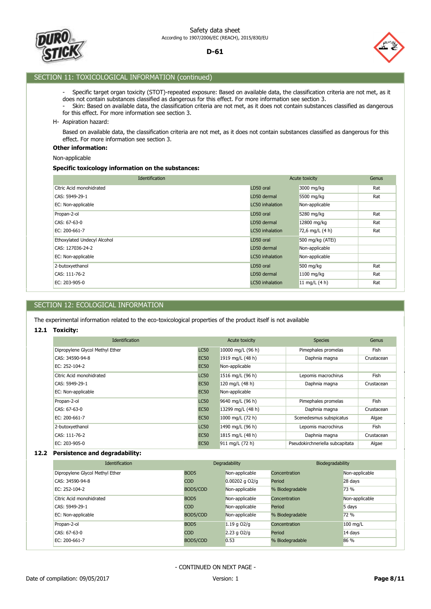



## SECTION 11: TOXICOLOGICAL INFORMATION (continued)

- Specific target organ toxicity (STOT)-repeated exposure: Based on available data, the classification criteria are not met, as it does not contain substances classified as dangerous for this effect. For more information see section 3.
- Skin: Based on available data, the classification criteria are not met, as it does not contain substances classified as dangerous for this effect. For more information see section 3.
- H- Aspiration hazard:

Based on available data, the classification criteria are not met, as it does not contain substances classified as dangerous for this effect. For more information see section 3.

#### **Other information:**

Non-applicable

## **Specific toxicology information on the substances:**

| Identification              | Acute toxicity  |                   | Genus |
|-----------------------------|-----------------|-------------------|-------|
| Citric Acid monohidrated    | LD50 oral       | 3000 mg/kg        | Rat   |
| CAS: 5949-29-1              | LD50 dermal     | 5500 mg/kg        | Rat   |
| EC: Non-applicable          | LC50 inhalation | Non-applicable    |       |
| Propan-2-ol                 | LD50 oral       | 5280 mg/kg        | Rat   |
| CAS: 67-63-0                | LD50 dermal     | 12800 mg/kg       | Rat   |
| EC: 200-661-7               | LC50 inhalation | 72,6 mg/L $(4 h)$ | Rat   |
| Ethoxylated Undecyl Alcohol | LD50 oral       | 500 mg/kg (ATEi)  |       |
| CAS: 127036-24-2            | LD50 dermal     | Non-applicable    |       |
| EC: Non-applicable          | LC50 inhalation | Non-applicable    |       |
| 2-butoxyethanol             | LD50 oral       | 500 mg/kg         | Rat   |
| CAS: 111-76-2               | LD50 dermal     | $1100$ mg/kg      | Rat   |
| EC: 203-905-0               | LC50 inhalation | 11 mg/L $(4 h)$   | Rat   |

## SECTION 12: ECOLOGICAL INFORMATION

The experimental information related to the eco-toxicological properties of the product itself is not available

#### **12.1 Toxicity:**

| <b>Identification</b>           |             | Acute toxicity     | <b>Species</b>                  | Genus      |
|---------------------------------|-------------|--------------------|---------------------------------|------------|
| Dipropylene Glycol Methyl Ether | <b>LC50</b> | 10000 mg/L (96 h)  | Pimephales promelas             | Fish       |
| CAS: 34590-94-8                 | <b>EC50</b> | 1919 mg/L (48 h)   | Daphnia magna                   | Crustacean |
| EC: $252-104-2$                 | <b>EC50</b> | Non-applicable     |                                 |            |
| Citric Acid monohidrated        | <b>LC50</b> | 1516 mg/L (96 h)   | Lepomis macrochirus             | Fish       |
| CAS: 5949-29-1                  | <b>EC50</b> | 120 mg/L (48 h)    | Daphnia magna                   | Crustacean |
| EC: Non-applicable              | <b>EC50</b> | Non-applicable     |                                 |            |
| Propan-2-ol                     | <b>LC50</b> | 9640 mg/L (96 h)   | Pimephales promelas             | Fish       |
| CAS: 67-63-0                    | <b>EC50</b> | 13299 mg/L (48 h)  | Daphnia magna                   | Crustacean |
| EC: 200-661-7                   | <b>EC50</b> | 1000 mg/L $(72 h)$ | Scenedesmus subspicatus         | Algae      |
| 2-butoxyethanol                 | <b>LC50</b> | 1490 mg/L (96 h)   | Lepomis macrochirus             | Fish       |
| CAS: 111-76-2                   | <b>EC50</b> | 1815 mg/L (48 h)   | Daphnia magna                   | Crustacean |
| EC: $203-905-0$                 | <b>EC50</b> | 911 mg/L (72 h)    | Pseudokirchneriella subcapitata | Algae      |

## **12.2 Persistence and degradability:**

| <b>Identification</b>           |                  | Degradability      | Biodegradability |                |
|---------------------------------|------------------|--------------------|------------------|----------------|
| Dipropylene Glycol Methyl Ether | BOD <sub>5</sub> | Non-applicable     | Concentration    | Non-applicable |
| CAS: 34590-94-8                 | COD              | $0.00202$ g $O2/q$ | Period           | 28 days        |
| EC: 252-104-2                   | BOD5/COD         | Non-applicable     | % Biodegradable  | 73 %           |
| Citric Acid monohidrated        | BOD <sub>5</sub> | Non-applicable     | Concentration    | Non-applicable |
| CAS: 5949-29-1                  | COD.             | Non-applicable     | Period           | 5 days         |
| EC: Non-applicable              | BOD5/COD         | Non-applicable     | % Biodegradable  | 72 %           |
| Propan-2-ol                     | BOD <sub>5</sub> | $1.19q$ O2/a       | Concentration    | 100 mg/L       |
| CAS: 67-63-0                    | COD.             | 2.23 g $O2/q$      | Period           | 14 days        |
| EC: 200-661-7                   | BOD5/COD         | 0.53               | % Biodegradable  | 86 %           |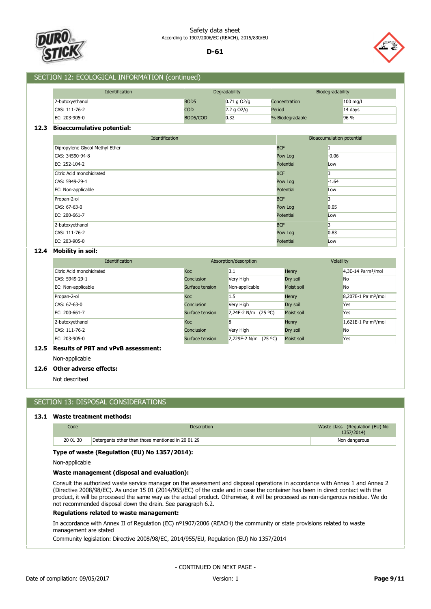



## SECTION 12: ECOLOGICAL INFORMATION (continued)

| <b>Identification</b> |                  | Degradability | Biodegradability |          |
|-----------------------|------------------|---------------|------------------|----------|
| 2-butoxyethanol       | BOD <sub>5</sub> | $0.71$ g O2/g | Concentration    | 100 mg/L |
| CAS: 111-76-2         | <b>COD</b>       | 2.2 g $O2/g$  | Period           | 14 days  |
| EC: 203-905-0         | BOD5/COD         | 0.32          | % Biodegradable  | 96 %     |

#### **12.3 Bioaccumulative potential:**

| Identification<br>Bioaccumulation potential |            |         |
|---------------------------------------------|------------|---------|
| Dipropylene Glycol Methyl Ether             | <b>BCF</b> |         |
| CAS: 34590-94-8                             | Pow Log    | $-0.06$ |
| EC: 252-104-2                               | Potential  | Low     |
| Citric Acid monohidrated                    | <b>BCF</b> | 3       |
| CAS: 5949-29-1                              | Pow Log    | $-1.64$ |
| EC: Non-applicable                          | Potential  | Low     |
| Propan-2-ol                                 | <b>BCF</b> | 3       |
| CAS: 67-63-0                                | Pow Log    | 0.05    |
| EC: 200-661-7                               | Potential  | Low     |
| 2-butoxyethanol                             | <b>BCF</b> | 3       |
| CAS: 111-76-2                               | Pow Log    | 0.83    |
| EC: 203-905-0                               | Potential  | Low     |

## **12.4 Mobility in soil:**

| <b>Identification</b>    |                 | Absorption/desorption   | Volatility |                                           |
|--------------------------|-----------------|-------------------------|------------|-------------------------------------------|
| Citric Acid monohidrated | <b>Koc</b>      | 3.1                     | Henry      | 4,3E-14 Pa $\cdot$ m <sup>3</sup> /mol    |
| CAS: 5949-29-1           | Conclusion      | Very High               | Dry soil   | <b>No</b>                                 |
| EC: Non-applicable       | Surface tension | Non-applicable          | Moist soil | <b>No</b>                                 |
| Propan-2-ol              | <b>Koc</b>      | 1.5                     | Henry      | 8,207E-1 Pa·m <sup>3</sup> /mol           |
| CAS: 67-63-0             | Conclusion      | Very High               | Dry soil   | Yes                                       |
| EC: 200-661-7            | Surface tension | $2,24E-2 N/m (25°C)$    | Moist soil | Yes                                       |
| 2-butoxyethanol          | <b>Koc</b>      | 8                       | Henry      | $1,621E-1$ Pa $\cdot$ m <sup>3</sup> /mol |
| CAS: 111-76-2            | Conclusion      | Very High               | Dry soil   | <b>No</b>                                 |
| EC: $203-905-0$          | Surface tension | 2,729E-2 N/m<br>(25 °C) | Moist soil | Yes                                       |

## **12.5 Results of PBT and vPvB assessment:**

Non-applicable

#### **12.6 Other adverse effects:**

Not described

## SECTION 13: DISPOSAL CONSIDERATIONS

## **13.1 Waste treatment methods:**

| Code     | Description                                       | Waste class (Regulation (EU) No<br>1357/2014) |
|----------|---------------------------------------------------|-----------------------------------------------|
| 20 01 30 | Detergents other than those mentioned in 20 01 29 | Non dangerous                                 |

#### **Type of waste (Regulation (EU) No 1357/2014):**

Non-applicable

## **Waste management (disposal and evaluation):**

Consult the authorized waste service manager on the assessment and disposal operations in accordance with Annex 1 and Annex 2 (Directive 2008/98/EC). As under 15 01 (2014/955/EC) of the code and in case the container has been in direct contact with the product, it will be processed the same way as the actual product. Otherwise, it will be processed as non-dangerous residue. We do not recommended disposal down the drain. See paragraph 6.2.

#### **Regulations related to waste management:**

In accordance with Annex II of Regulation (EC) nº1907/2006 (REACH) the community or state provisions related to waste management are stated

Community legislation: Directive 2008/98/EC, 2014/955/EU, Regulation (EU) No 1357/2014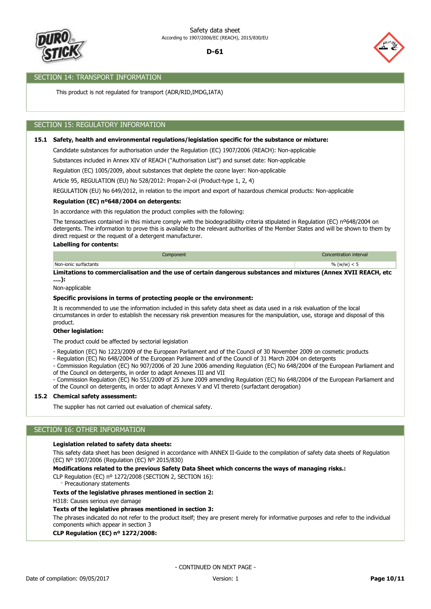

## SECTION 14: TRANSPORT INFORMATION

This product is not regulated for transport (ADR/RID,IMDG,IATA)

# SECTION 15: REGULATORY INFORMATION

## **15.1 Safety, health and environmental regulations/legislation specific for the substance or mixture:**

Candidate substances for authorisation under the Regulation (EC) 1907/2006 (REACH): Non-applicable

Substances included in Annex XIV of REACH ("Authorisation List") and sunset date: Non-applicable

Article 95, REGULATION (EU) No 528/2012: Propan-2-ol (Product-type 1, 2, 4) Regulation (EC) 1005/2009, about substances that deplete the ozone layer: Non-applicable

REGULATION (EU) No 649/2012, in relation to the import and export of hazardous chemical products: Non-applicable

#### **Regulation (EC) nº648/2004 on detergents:**

In accordance with this regulation the product complies with the following:

The tensoactives contained in this mixture comply with the biodegradibility criteria stipulated in Regulation (EC) nº648/2004 on detergents. The information to prove this is available to the relevant authorities of the Member States and will be shown to them by direct request or the request of a detergent manufacturer.

#### **Labelling for contents:**

|                          | nponent | ferval. |
|--------------------------|---------|---------|
| Non-ionic<br>surfactants |         | m       |

**Limitations to commercialisation and the use of certain dangerous substances and mixtures (Annex XVII REACH, etc ….):**

Non-applicable

#### **Specific provisions in terms of protecting people or the environment:**

It is recommended to use the information included in this safety data sheet as data used in a risk evaluation of the local circumstances in order to establish the necessary risk prevention measures for the manipulation, use, storage and disposal of this product.

#### **Other legislation:**

The product could be affected by sectorial legislation

- Regulation (EC) No 1223/2009 of the European Parliament and of the Council of 30 November 2009 on cosmetic products
- Regulation (EC) No 648/2004 of the European Parliament and of the Council of 31 March 2004 on detergents
- Commission Regulation (EC) No 907/2006 of 20 June 2006 amending Regulation (EC) No 648/2004 of the European Parliament and of the Council on detergents, in order to adapt Annexes III and VII

- Commission Regulation (EC) No 551/2009 of 25 June 2009 amending Regulation (EC) No 648/2004 of the European Parliament and of the Council on detergents, in order to adapt Annexes V and VI thereto (surfactant derogation)

#### **15.2 Chemical safety assessment:**

The supplier has not carried out evaluation of chemical safety.

## SECTION 16: OTHER INFORMATION

#### **Legislation related to safety data sheets:**

This safety data sheet has been designed in accordance with ANNEX II-Guide to the compilation of safety data sheets of Regulation (EC) Nº 1907/2006 (Regulation (EC) Nº 2015/830)

**Modifications related to the previous Safety Data Sheet which concerns the ways of managing risks.:**

CLP Regulation (EC) nº 1272/2008 (SECTION 2, SECTION 16):

· Precautionary statements

## **Texts of the legislative phrases mentioned in section 2:**

H318: Causes serious eye damage

#### **Texts of the legislative phrases mentioned in section 3:**

The phrases indicated do not refer to the product itself; they are present merely for informative purposes and refer to the individual components which appear in section 3

#### **CLP Regulation (EC) nº 1272/2008:**